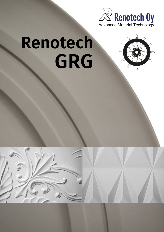

# Renotech GRG



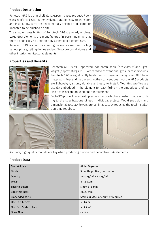## Product Description

Renotech GRG is a thin shell alpha gypsum based product. Fiberglass reinforced GRG is lightweight, durable, easy to transport and install. GRG parts are delivered fully finished and coated or uncoated to be finished on site.

The shaping possibilities of Renotech GRG are nearly endless. Large GRG elements are manufactured in parts, meaning that there's practically no limit on fully assembled element size.

Renotech GRG is ideal for creating decorative wall and ceiling panels, pillars, ceiling domes and profiles, cornices, dividers and other interior architectural elements.



## Properties and Benefits



Renotech GRG is MED approved, non-combustible (fire class A1)and lightweight (approx. 10 kg /  $m<sup>2</sup>$ ). Compared to conventional gypsum cast products, Renotech GRG is significantly lighter and stronger. Alpha gypsum, GRG base material, is finer and harder setting than conventional gypsum. GRG products are lightweight, strong, durable and easy to install. Mounting profiles are usually embedded in the element for easy fitting – the embedded profiles also act as secondary element reinforcement.

Each GRG product is cast with precise moulds which are custom made according to the specifications of each individual project. Mould precision and dimensional accuracy lowers project final cost by reducing the total installation time required.



Accurate, high quality moulds are key when producing precise and decorative GRG elements.

## Product Data

| Material base         | Alpha Gypsum                                  |
|-----------------------|-----------------------------------------------|
| Finish                | Smooth, profiled, decorative                  |
| Density               | 1600 kg/m <sup>3</sup> ±150 kg/m <sup>3</sup> |
| Weight                | $8 - 12$ kg/m <sup>2</sup>                    |
| Shell thickness       | 5 mm $\pm$ 1,5 mm                             |
| Edge thickness        | ca. 20 mm                                     |
| Embedded parts        | Stainless Steel or equiv. (if required)       |
| One Part Length       | $\leq$ 3,6 m                                  |
| One Part Surface Area | ≤ 3,5 $m2$                                    |
| <b>Glass Fiber</b>    | ca. 5 %                                       |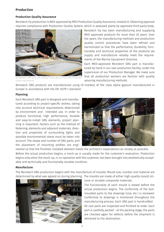### Production

#### Production Quality Assurance

Renotech Oy production is MED approved by MED Production Quality Assurance, module D. Obtaining approval requires compliance with Production Quality System, which is assessed yearly by approved third party body.



*All Renotech GRG parts are carefully handcrafted to meet MED Production Quality requirements.*

Renotech Oy has been manufacturing and supplying MED approved products for more than 20 years. Over the years, the manufacturing methods and production quality control procedures have been refined and harmonized so that the performance, durability, functionality and technical properties of the products we supply and manufacture reliably meet the requirements of the Marine Equipment Directive.

Each MED-approved Renotech GRG part is manufactured by hand in our own production facility, under the supervision of our Production Manager. We make sure that all production workers are familiar with quality assuring manufacturing methods.

Renotech GRG products are manufactured using CE-marked, A1 fire class alpha gypsum manufactured in Europe in accordance with the EN 13279-1 standard.

#### Planning

Each Renotech GRG part is designed and manufactured according to project-specific wishes, taking into account technical requirements determined by environment and intended use. In order to produce functional, high performance, durable and easy-to-install GRG elements, project planning is important. Factors such as the method of fastening, elements and adjacent materials, direction and properties of surrounding lights and possible environmental stress must be taken into account. The shape and number of GRG parts, and the placement of mounting profiles are engi-



neered so that the finished, installed element meets the architect's expectations as closely as possible. Before the actual production begins, a mock-up is usually made for the customer's evaluation. Production begins only when the mock-up, in co-operation with the customer, has been brought into aesthetically acceptable and technically and functionally durable condition.

#### Manufacture

The Renotech GRG production begins with the manufacture of moulds. Mould size, number and material are determined by what was agreed on during planning. The moulds are made of either high-quality mould sili-



cone or durable composite materials.

The functionality of each mould is tested before the actual production begins. The conformity of the testmoulded parts to the drawings (size, etc.) is reviewed. Conformity to drawings is monitored throughout the manufacturing process. Each GRG part is handcrafted.

All cast parts are inspected and finished to order. Each part is carefully packed - at the packing stage, the parts are checked again for defects before the shipment is delivered to the destination.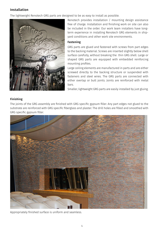# Installation

The lightweight Renotech GRG parts are designed to be as easy to install as possible.



Renotech provides installation / mounting design assistance free of charge. Installation and finishing work on site can also be included in the order. Our work team installers have longterm experience in installing Renotech GRG elements in shipyard conditions and other work site environments.

## Fastening

GRG parts are glued and fastened with screws from part edges to the backing material. Screws are inserted slightly below shell surface carefully, without breaking the thin GRG shell. Large or shaped GRG parts are equipped with embedded reinforcing mounting profiles.

Large ceiling elements are manufactured in parts and are either screwed directly to the backing structure or suspended with fasteners and steel wires. The GRG parts are connected with either overlap or butt joints. Joints are reinforced with metal bars.

Smaller, lightweight GRG parts are easily installed by just gluing.

## Finishing

The joints of the GRG assembly are finished with GRG specific gypsum filler. Any part edges not glued to the substrate are reinforced with GRG specific fiberglass and plaster. The drill holes are filled and smoothed with GRG specific gypsum filler.



Appropriately finished surface is uniform and seamless.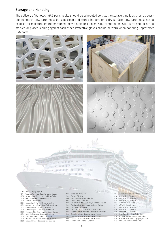#### Storage and Handling:

The delivery of Renotech GRG parts to site should be scheduled so that the storage time is as short as possible. Renotech GRG parts must be kept clean and stored indoors on a dry surface. GRG parts must not be exposed to moisture. Improper storage may distort or damage GRG components. GRG parts should not be stacked or placed leaning against each other. Protective gloves should be worn when handling unprotected GRG parts.



# 1999 Europa - Hapag-Lloyd AG<br>1999 Voyager of the Seas - Roy

- Voyager of the Seas Royal Caribbean Cruises
- 2000 Explorer of the Seas Royal Caribbean Cruises
- 2000 Costa Atlantica Costa Crociere S.p.A.
- 2000 Ulysseus Irish Ferries 2001 Carnival Spirit - Carnival Cruise Lines, Inc.
- 
- 2001 Adventure of the Seas Royal Caribbean Cruises<br>2001 Carnival Pride Carnival Cruise Lines Inc.
- 2001 Carnival Pride Carnival Cruise Lines, Inc.<br>2002 Carnival Legend Carnival Cruise Lines, Inc.
- 2002 Carnival Legend Carnival Cruise Lines, Inc.<br>2002 Navigator of the Seas Royal Caribbean Cru Navigator of the Seas - Royal Caribbean Cruises
- 
- 2002 Costa Mediterranea Costa Crociere S.p.A.
- 2003 RMS Queen Mary 2 Cunard Cruise Line<br>2003 Mariner of the Seas Royal Caribbean (
- 2003 Mariner of the Seas Royal Caribbean Cruises<br>2003 Carnival Miracle Carnival Cruise Lines Inc. 2003 Carnival Miracle - Carnival Cruise Lines, Inc.

2003 Cinderella - Viking Line

 $E=E$ 

- 2004 Finnjet Silja Line
- 2004 Birka Paradise Birka Cruise Line
- 2004 Color Fantasy Color Line
- 2005 Enchantment of the Seas Royal Caribbean Cruises

2011 Allure of the Seas - Royal Caribbean Cruises

2014 Mein Schiff 3 - TUI Cruises 2015 Main Schiff / - TIII Cruises 2016 Mein Schiff 5 - TUI Cruises<br>2016 AIDAprima - Aida Cruises AIDAprima - Aida Cruises 2017 AIDAperla - Aida Cruises 2017 Mein Schiff 6 - TUI Cruises 2018 Mein Schiff 1 - TUI Cruises<br>2019 Mein Schiff 2 - TUI Cruises Mein Schiff 2 - TUI Cruises 2019 Costa Smeralda - Costa Cruise Lines<br>2019 Hanseatic Natrure - Hanag Lloyd Cru 2019 Hanseatic Natrure - Hapag Lloyd Cruises<br>2019 Hanseatic Inspiration - Hapag Lloyd Cruis Hanseatic Inspiration - Hapag Lloyd Cruises

2020 Mardi Gras - Carnival Cruise Lines

- 2006 Freedom of the Seas Royal Caribbean Cruises
- 2007 Color Magic Color Line
- 2007 Liberty of the Seas Royal Caribbean Cruises<br>2008 Independence of the Seas Royal Caribbean
- 2008 Independence of the Seas Royal Caribbean Cruises<br>2008 Celebrity Solstice Royal Caribbean Cruises
	- Celebrity Solstice Royal Caribbean Cruises
- 2009 Celebrity Equinox Royal Caribbean Cruises<br>2009 Oasis of the Seas Royal Caribbean Cruises Oasis of the Seas - Royal Caribbean Cruises
- 2010 Disney Dream Disney Cruise Line
	- 5